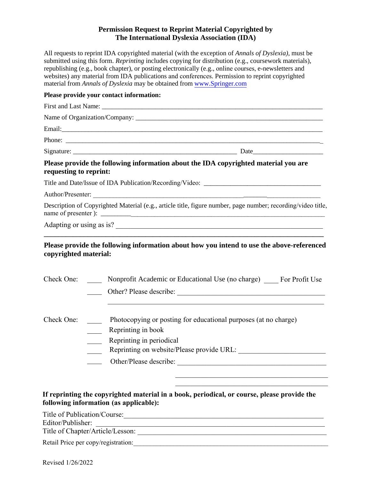# **Permission Request to Reprint Material Copyrighted by The International Dyslexia Association (IDA)**

All requests to reprint IDA copyrighted material (with the exception of *Annals of Dyslexia)*, must be submitted using this form. *Reprinting* includes copying for distribution (e.g., coursework materials), republishing (e.g., book chapter), or posting electronically (e.g., online courses, e-newsletters and websites) any material from IDA publications and conferences. Permission to reprint copyrighted material from *Annals of Dyslexia* may be obtained from www.Springer.com

# **Please provide your contact information:**  First and Last Name: Name of Organization/Company: Email:\_\_\_\_\_\_\_\_\_\_\_\_\_\_\_\_\_\_\_\_\_\_\_\_\_\_\_\_\_\_\_\_\_\_\_\_\_\_\_\_\_\_\_\_\_\_\_\_\_\_\_\_\_\_\_\_\_\_\_\_\_\_\_\_\_\_\_\_\_\_\_\_\_\_\_\_\_\_ Phone: \_\_\_\_\_\_\_\_\_\_\_\_\_\_\_\_\_\_\_\_\_\_\_\_\_\_\_\_\_\_\_\_\_\_\_\_\_\_\_\_\_\_\_\_\_\_\_\_\_\_\_\_\_\_\_\_\_\_\_\_\_\_\_\_\_\_\_\_\_\_\_\_\_\_\_\_\_ Signature: \_\_\_\_\_\_\_\_\_\_\_\_\_\_\_\_\_\_\_\_\_\_\_\_\_\_\_\_\_\_\_\_\_\_\_\_\_\_\_\_\_\_\_\_\_\_\_\_\_ Date\_\_\_\_\_\_\_\_\_\_\_\_\_\_\_\_\_\_\_\_\_ **Please provide the following information about the IDA copyrighted material you are requesting to reprint:**  Title and Date/Issue of IDA Publication/Recording/Video: \_\_\_\_\_\_\_\_\_\_\_\_\_\_\_\_\_\_\_\_\_\_\_\_ Author/Presenter: Description of Copyrighted Material (e.g., article title, figure number, page number; recording/video title, name of presenter ): \_\_\_\_\_\_\_\_\_\_\_\_\_\_\_\_\_\_\_\_\_\_\_\_\_\_\_\_\_\_\_\_\_\_\_\_\_\_\_\_\_\_\_\_\_\_\_\_\_\_\_\_\_\_\_\_\_\_\_\_\_\_\_\_\_\_\_ Adapting or using as is? \_\_\_\_\_\_\_\_\_\_\_\_\_\_\_\_\_\_\_\_\_\_\_\_\_\_\_\_\_\_\_\_\_\_\_\_\_\_\_\_\_\_\_\_\_\_\_\_\_\_\_\_\_\_\_\_\_ **\_\_\_\_\_\_\_\_\_\_\_\_\_\_\_\_\_\_\_\_\_\_\_\_\_\_\_\_\_\_\_\_\_\_\_\_\_\_\_\_\_\_\_\_\_\_\_\_\_\_\_\_\_\_\_\_\_\_\_\_\_\_\_\_\_\_\_\_\_\_\_\_\_\_\_\_\_ Please provide the following information about how you intend to use the above-referenced copyrighted material:**  Check One: Nonprofit Academic or Educational Use (no charge) For Profit Use \_\_\_\_\_\_\_\_\_\_ Other? Please describe: Check One: Photocopying or posting for educational purposes (at no charge) Reprinting in book

- Reprinting in periodical
- Reprinting on website/Please provide URL:

 $\mathcal{L}_\mathcal{L}$  , which is a set of the set of the set of the set of the set of the set of the set of the set of the set of the set of the set of the set of the set of the set of the set of the set of the set of the set of  $\mathcal{L}_\mathcal{L} = \mathcal{L}_\mathcal{L} = \mathcal{L}_\mathcal{L} = \mathcal{L}_\mathcal{L} = \mathcal{L}_\mathcal{L} = \mathcal{L}_\mathcal{L} = \mathcal{L}_\mathcal{L} = \mathcal{L}_\mathcal{L} = \mathcal{L}_\mathcal{L} = \mathcal{L}_\mathcal{L} = \mathcal{L}_\mathcal{L} = \mathcal{L}_\mathcal{L} = \mathcal{L}_\mathcal{L} = \mathcal{L}_\mathcal{L} = \mathcal{L}_\mathcal{L} = \mathcal{L}_\mathcal{L} = \mathcal{L}_\mathcal{L}$ 

\_\_\_\_ Other/Please describe: \_\_\_\_\_\_\_\_\_\_\_\_\_\_\_\_\_\_\_\_\_\_\_\_\_\_\_\_\_\_\_\_\_\_\_\_\_\_\_\_\_

# **If reprinting the copyrighted material in a book, periodical, or course, please provide the following information (as applicable):**

Title of Publication/Course:\_\_\_\_\_\_\_\_\_\_\_\_\_\_\_\_\_\_\_\_\_\_\_\_\_\_\_\_\_\_\_\_\_\_\_\_\_\_\_\_\_\_\_\_\_\_\_\_\_\_\_\_\_\_\_

Editor/Publisher:

Title of Chapter/Article/Lesson:

Retail Price per copy/registration: